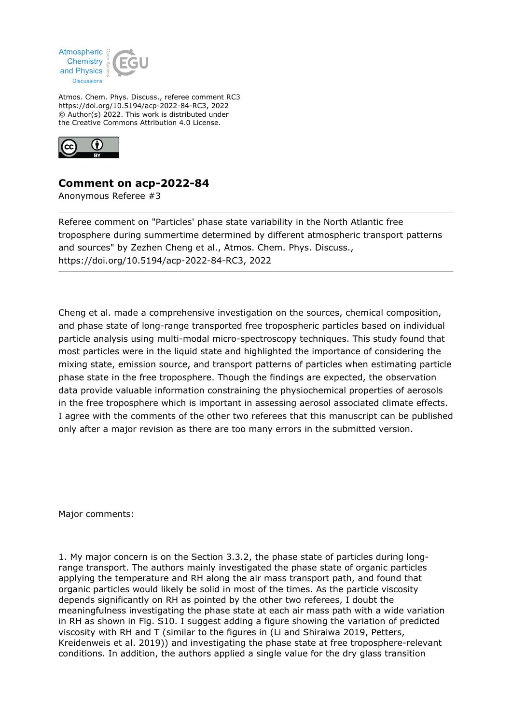

Atmos. Chem. Phys. Discuss., referee comment RC3 https://doi.org/10.5194/acp-2022-84-RC3, 2022 © Author(s) 2022. This work is distributed under the Creative Commons Attribution 4.0 License.



## **Comment on acp-2022-84**

Anonymous Referee #3

Referee comment on "Particles' phase state variability in the North Atlantic free troposphere during summertime determined by different atmospheric transport patterns and sources" by Zezhen Cheng et al., Atmos. Chem. Phys. Discuss., https://doi.org/10.5194/acp-2022-84-RC3, 2022

Cheng et al. made a comprehensive investigation on the sources, chemical composition, and phase state of long-range transported free tropospheric particles based on individual particle analysis using multi-modal micro-spectroscopy techniques. This study found that most particles were in the liquid state and highlighted the importance of considering the mixing state, emission source, and transport patterns of particles when estimating particle phase state in the free troposphere. Though the findings are expected, the observation data provide valuable information constraining the physiochemical properties of aerosols in the free troposphere which is important in assessing aerosol associated climate effects. I agree with the comments of the other two referees that this manuscript can be published only after a major revision as there are too many errors in the submitted version.

Major comments:

1. My major concern is on the Section 3.3.2, the phase state of particles during longrange transport. The authors mainly investigated the phase state of organic particles applying the temperature and RH along the air mass transport path, and found that organic particles would likely be solid in most of the times. As the particle viscosity depends significantly on RH as pointed by the other two referees, I doubt the meaningfulness investigating the phase state at each air mass path with a wide variation in RH as shown in Fig. S10. I suggest adding a figure showing the variation of predicted viscosity with RH and T (similar to the figures in (Li and Shiraiwa 2019, Petters, Kreidenweis et al. 2019)) and investigating the phase state at free troposphere-relevant conditions. In addition, the authors applied a single value for the dry glass transition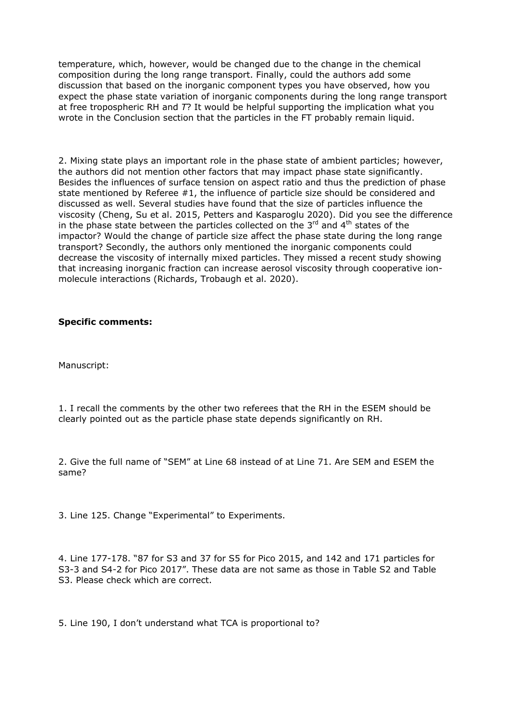temperature, which, however, would be changed due to the change in the chemical composition during the long range transport. Finally, could the authors add some discussion that based on the inorganic component types you have observed, how you expect the phase state variation of inorganic components during the long range transport at free tropospheric RH and *T*? It would be helpful supporting the implication what you wrote in the Conclusion section that the particles in the FT probably remain liquid.

2. Mixing state plays an important role in the phase state of ambient particles; however, the authors did not mention other factors that may impact phase state significantly. Besides the influences of surface tension on aspect ratio and thus the prediction of phase state mentioned by Referee #1, the influence of particle size should be considered and discussed as well. Several studies have found that the size of particles influence the viscosity (Cheng, Su et al. 2015, Petters and Kasparoglu 2020). Did you see the difference in the phase state between the particles collected on the  $3<sup>rd</sup>$  and  $4<sup>th</sup>$  states of the impactor? Would the change of particle size affect the phase state during the long range transport? Secondly, the authors only mentioned the inorganic components could decrease the viscosity of internally mixed particles. They missed a recent study showing that increasing inorganic fraction can increase aerosol viscosity through cooperative ionmolecule interactions (Richards, Trobaugh et al. 2020).

## **Specific comments:**

Manuscript:

1. I recall the comments by the other two referees that the RH in the ESEM should be clearly pointed out as the particle phase state depends significantly on RH.

2. Give the full name of "SEM" at Line 68 instead of at Line 71. Are SEM and ESEM the same?

3. Line 125. Change "Experimental" to Experiments.

4. Line 177-178. "87 for S3 and 37 for S5 for Pico 2015, and 142 and 171 particles for S3-3 and S4-2 for Pico 2017". These data are not same as those in Table S2 and Table S3. Please check which are correct.

5. Line 190, I don't understand what TCA is proportional to?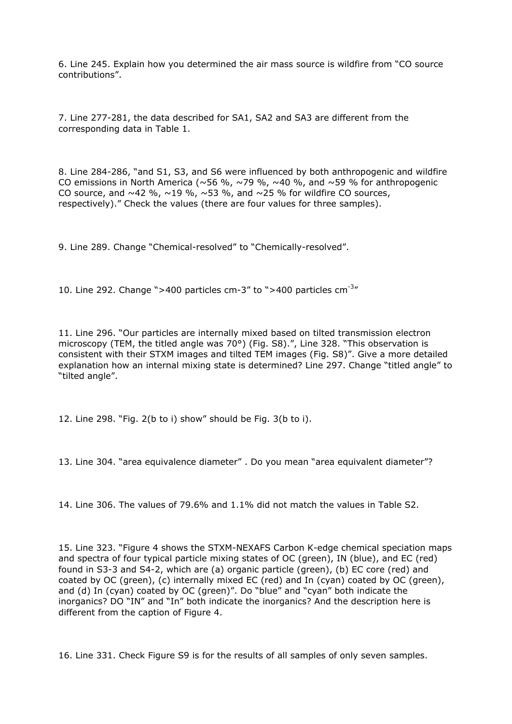6. Line 245. Explain how you determined the air mass source is wildfire from "CO source contributions".

7. Line 277-281, the data described for SA1, SA2 and SA3 are different from the corresponding data in Table 1.

8. Line 284-286, "and S1, S3, and S6 were influenced by both anthropogenic and wildfire CO emissions in North America (~56 %, ~79 %, ~40 %, and ~59 % for anthropogenic CO source, and  $\sim$ 42 %,  $\sim$ 19 %,  $\sim$ 53 %, and  $\sim$ 25 % for wildfire CO sources, respectively)." Check the values (there are four values for three samples).

9. Line 289. Change "Chemical-resolved" to "Chemically-resolved".

10. Line 292. Change ">400 particles cm-3" to ">400 particles cm- $3''$ 

11. Line 296. "Our particles are internally mixed based on tilted transmission electron microscopy (TEM, the titled angle was 70°) (Fig. S8).", Line 328. "This observation is consistent with their STXM images and tilted TEM images (Fig. S8)". Give a more detailed explanation how an internal mixing state is determined? Line 297. Change "titled angle" to "tilted angle".

12. Line 298. "Fig. 2(b to i) show" should be Fig. 3(b to i).

13. Line 304. "area equivalence diameter" . Do you mean "area equivalent diameter"?

14. Line 306. The values of 79.6% and 1.1% did not match the values in Table S2.

15. Line 323. "Figure 4 shows the STXM-NEXAFS Carbon K-edge chemical speciation maps and spectra of four typical particle mixing states of OC (green), IN (blue), and EC (red) found in S3-3 and S4-2, which are (a) organic particle (green), (b) EC core (red) and coated by OC (green), (c) internally mixed EC (red) and In (cyan) coated by OC (green), and (d) In (cyan) coated by OC (green)". Do "blue" and "cyan" both indicate the inorganics? DO "IN" and "In" both indicate the inorganics? And the description here is different from the caption of Figure 4.

16. Line 331. Check Figure S9 is for the results of all samples of only seven samples.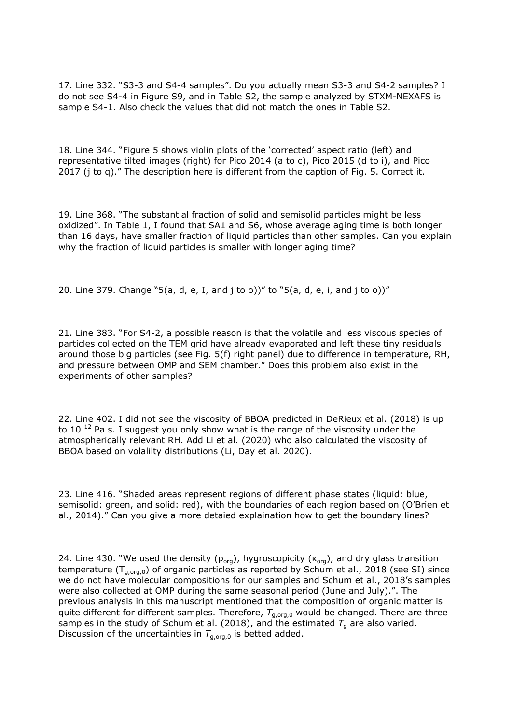17. Line 332. "S3-3 and S4-4 samples". Do you actually mean S3-3 and S4-2 samples? I do not see S4-4 in Figure S9, and in Table S2, the sample analyzed by STXM-NEXAFS is sample S4-1. Also check the values that did not match the ones in Table S2.

18. Line 344. "Figure 5 shows violin plots of the 'corrected' aspect ratio (left) and representative tilted images (right) for Pico 2014 (a to c), Pico 2015 (d to i), and Pico 2017 (j to q)." The description here is different from the caption of Fig. 5. Correct it.

19. Line 368. "The substantial fraction of solid and semisolid particles might be less oxidized". In Table 1, I found that SA1 and S6, whose average aging time is both longer than 16 days, have smaller fraction of liquid particles than other samples. Can you explain why the fraction of liquid particles is smaller with longer aging time?

20. Line 379. Change "5(a, d, e, I, and j to o))" to "5(a, d, e, i, and j to o))"

21. Line 383. "For S4-2, a possible reason is that the volatile and less viscous species of particles collected on the TEM grid have already evaporated and left these tiny residuals around those big particles (see Fig. 5(f) right panel) due to difference in temperature, RH, and pressure between OMP and SEM chamber." Does this problem also exist in the experiments of other samples?

22. Line 402. I did not see the viscosity of BBOA predicted in DeRieux et al. (2018) is up to 10<sup>12</sup> Pa s. I suggest you only show what is the range of the viscosity under the atmospherically relevant RH. Add Li et al. (2020) who also calculated the viscosity of BBOA based on volalilty distributions (Li, Day et al. 2020).

23. Line 416. "Shaded areas represent regions of different phase states (liquid: blue, semisolid: green, and solid: red), with the boundaries of each region based on (O'Brien et al., 2014)." Can you give a more detaied explaination how to get the boundary lines?

24. Line 430. "We used the density ( $\rho_{\text{ora}}$ ), hygroscopicity ( $\kappa_{\text{ora}}$ ), and dry glass transition temperature ( $T_{q,org,0}$ ) of organic particles as reported by Schum et al., 2018 (see SI) since we do not have molecular compositions for our samples and Schum et al., 2018's samples were also collected at OMP during the same seasonal period (June and July).". The previous analysis in this manuscript mentioned that the composition of organic matter is quite different for different samples. Therefore,  $T_{q,org,0}$  would be changed. There are three samples in the study of Schum et al. (2018), and the estimated  $T_g$  are also varied. Discussion of the uncertainties in  $T_{q,ora,0}$  is betted added.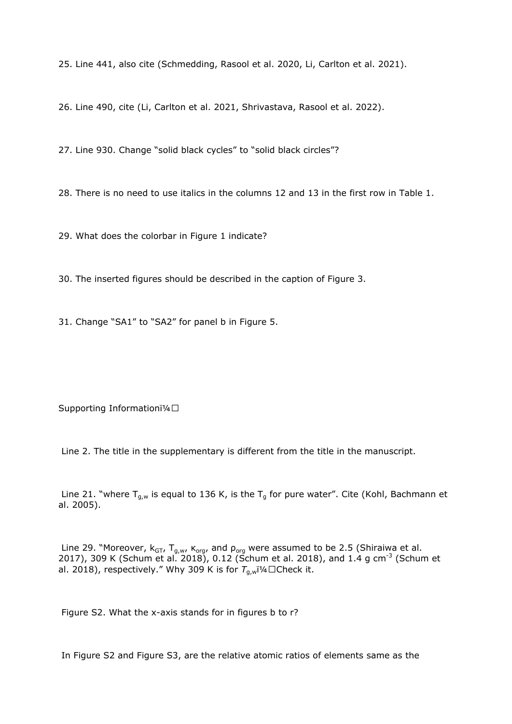25. Line 441, also cite (Schmedding, Rasool et al. 2020, Li, Carlton et al. 2021).

26. Line 490, cite (Li, Carlton et al. 2021, Shrivastava, Rasool et al. 2022).

27. Line 930. Change "solid black cycles" to "solid black circles"?

28. There is no need to use italics in the columns 12 and 13 in the first row in Table 1.

29. What does the colorbar in Figure 1 indicate?

30. The inserted figures should be described in the caption of Figure 3.

31. Change "SA1" to "SA2" for panel b in Figure 5.

Supporting Informationï¼□

Line 2. The title in the supplementary is different from the title in the manuscript.

Line 21. "where  $T_{g,w}$  is equal to 136 K, is the  $T_g$  for pure water". Cite (Kohl, Bachmann et al. 2005).

Line 29. "Moreover,  $k_{GT}$ ,  $T_{g,w}$ ,  $K_{org}$ , and  $p_{org}$  were assumed to be 2.5 (Shiraiwa et al. 2017), 309 K (Schum et al. 2018), 0.12 (Schum et al. 2018), and 1.4 g cm<sup>-3</sup> (Schum et al. 2018), respectively." Why 309 K is for  $T_{g,w}$  1/4  $\Box$ Check it.

Figure S2. What the x-axis stands for in figures b to r?

In Figure S2 and Figure S3, are the relative atomic ratios of elements same as the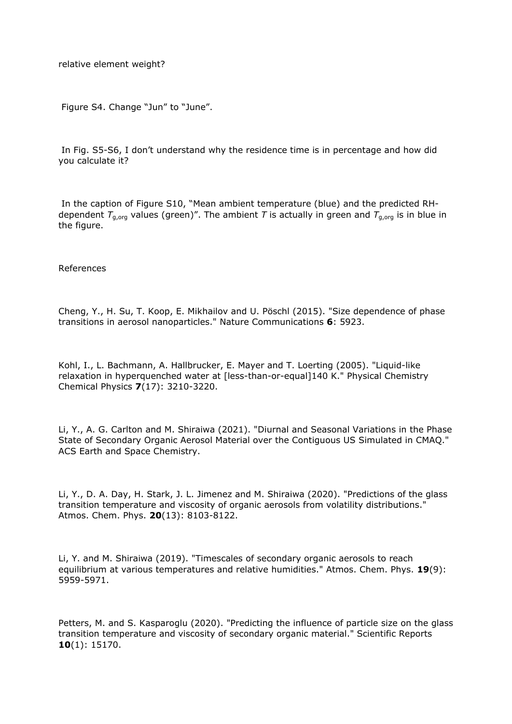relative element weight?

Figure S4. Change "Jun" to "June".

In Fig. S5-S6, I don't understand why the residence time is in percentage and how did you calculate it?

In the caption of Figure S10, "Mean ambient temperature (blue) and the predicted RHdependent  $T_{a,ora}$  values (green)". The ambient T is actually in green and  $T_{g,org}$  is in blue in the figure.

## References

Cheng, Y., H. Su, T. Koop, E. Mikhailov and U. Pöschl (2015). "Size dependence of phase transitions in aerosol nanoparticles." Nature Communications **6**: 5923.

Kohl, I., L. Bachmann, A. Hallbrucker, E. Mayer and T. Loerting (2005). "Liquid-like relaxation in hyperquenched water at [less-than-or-equal]140 K." Physical Chemistry Chemical Physics **7**(17): 3210-3220.

Li, Y., A. G. Carlton and M. Shiraiwa (2021). "Diurnal and Seasonal Variations in the Phase State of Secondary Organic Aerosol Material over the Contiguous US Simulated in CMAQ." ACS Earth and Space Chemistry.

Li, Y., D. A. Day, H. Stark, J. L. Jimenez and M. Shiraiwa (2020). "Predictions of the glass transition temperature and viscosity of organic aerosols from volatility distributions." Atmos. Chem. Phys. **20**(13): 8103-8122.

Li, Y. and M. Shiraiwa (2019). "Timescales of secondary organic aerosols to reach equilibrium at various temperatures and relative humidities." Atmos. Chem. Phys. **19**(9): 5959-5971.

Petters, M. and S. Kasparoglu (2020). "Predicting the influence of particle size on the glass transition temperature and viscosity of secondary organic material." Scientific Reports **10**(1): 15170.